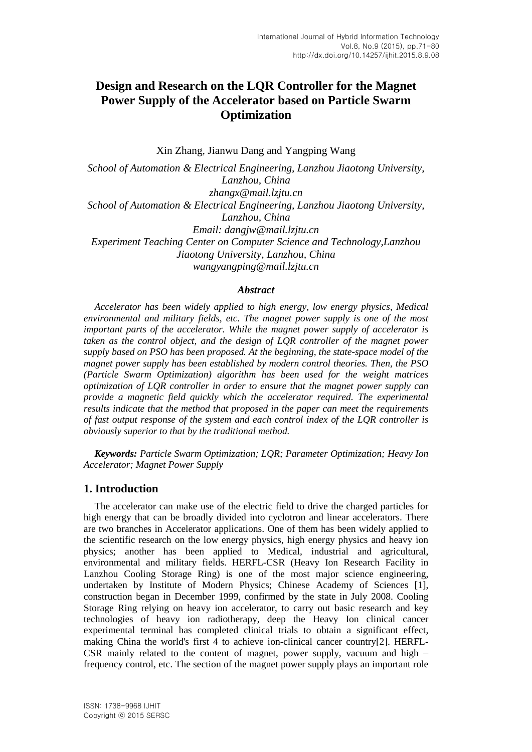# **Design and Research on the LQR Controller for the Magnet Power Supply of the Accelerator based on Particle Swarm Optimization**

Xin Zhang, Jianwu Dang and Yangping Wang

*School of Automation & Electrical Engineering, Lanzhou Jiaotong University, Lanzhou, China zhangx@mail.lzjtu.cn School of Automation & Electrical Engineering, Lanzhou Jiaotong University, Lanzhou, China Email: [dangjw@](http://mail.lzjtu.cn/coremail/XJS/pab/view.jsp?sid=BAOqKNppebsbSLZfwqppjVEEyzpeXdWC&totalCount=1&view_no=0&puid=69&gid=migration_201209030211171308)mail.lzjtu.cn Experiment Teaching Center on Computer Science and Technology,Lanzhou Jiaotong University, Lanzhou, China wangyangping@mail.lzjtu.cn*

#### *Abstract*

*Accelerator has been widely applied to high energy, low energy physics, Medical environmental and military fields, etc. The magnet power supply is one of the most important parts of the accelerator. While the magnet power supply of accelerator is taken as the control object, and the design of LQR controller of the magnet power supply based on PSO has been proposed. At the beginning, the state-space model of the magnet power supply has been established by modern control theories. Then, the PSO (Particle Swarm Optimization) algorithm has been used for the weight matrices optimization of LQR controller in order to ensure that the magnet power supply can provide a magnetic field quickly which the accelerator required. The experimental results indicate that the method that proposed in the paper can meet the requirements of fast output response of the system and each control index of the LQR controller is obviously superior to that by the traditional method.*

*Keywords: Particle Swarm Optimization; LQR; Parameter Optimization; Heavy Ion Accelerator; Magnet Power Supply*

#### **1. Introduction**

The accelerator can make use of the electric field to drive the charged particles for high energy that can be broadly divided into cyclotron and linear accelerators. There are two branches in Accelerator applications. One of them has been widely applied to the scientific research on the low energy physics, high energy physics and heavy ion physics; another has been applied to Medical, industrial and agricultural, environmental and military fields. HERFL-CSR (Heavy Ion Research Facility in Lanzhou Cooling Storage Ring) is one of the most major science engineering, undertaken by Institute of Modern Physics; Chinese Academy of Sciences [1], construction began in December 1999, confirmed by the state in July 2008. Cooling Storage Ring relying on heavy ion accelerator, to carry out basic research and key technologies of heavy ion radiotherapy, deep the Heavy Ion clinical cancer experimental terminal has completed clinical trials to obtain a significant effect, making China the world's first 4 to achieve ion-clinical cancer country[2]. HERFL-CSR mainly related to the content of magnet, power supply, vacuum and high – frequency control, etc. The section of the magnet power supply plays an important role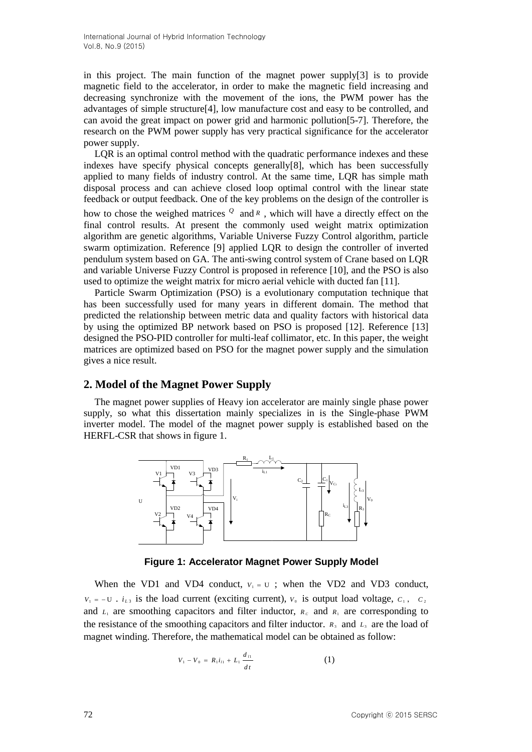in this project. The main function of the magnet power supply[3] is to provide magnetic field to the accelerator, in order to make the magnetic field increasing and decreasing synchronize with the movement of the ions, the PWM power has the advantages of simple structure[4], low manufacture cost and easy to be controlled, and can avoid the great impact on power grid and harmonic pollution[5-7]. Therefore, the research on the PWM power supply has very practical significance for the accelerator power supply.

LOR is an optimal control method with the quadratic performance indexes and these indexes have specify physical concepts generally[8], which has been successfully applied to many fields of industry control. At the same time, LQR has simple math disposal process and can achieve closed loop optimal control with the linear state feedback or output feedback. One of the key problems on the design of the controller is

how to chose the weighed matrices *Q* and *<sup>R</sup>* , which will have a directly effect on the final control results. At present the commonly used weight matrix optimization algorithm are genetic algorithms, Variable Universe Fuzzy Control algorithm, particle swarm optimization. Reference [9] applied LQR to design the controller of inverted pendulum system based on GA. The anti-swing control system of Crane based on LQR and variable Universe Fuzzy Control is proposed in reference [10], and the PSO is also used to optimize the weight matrix for micro aerial vehicle with ducted fan [11].

Particle Swarm Optimization (PSO) is a evolutionary computation technique that has been successfully used for many years in different domain. The method that predicted the relationship between metric data and quality factors with historical data by using the optimized BP network based on PSO is proposed [12]. Reference [13] designed the PSO-PID controller for multi-leaf collimator, etc. In this paper, the weight matrices are optimized based on PSO for the magnet power supply and the simulation gives a nice result.

#### **2. Model of the Magnet Power Supply**

The magnet power supplies of Heavy ion accelerator are mainly single phase power supply, so what this dissertation mainly specializes in is the Single-phase PWM inverter model. The model of the magnet power supply is established based on the HERFL-CSR that shows in figure 1.



**Figure 1: Accelerator Magnet Power Supply Model**

When the VD1 and VD4 conduct,  $V_1 = U$ ; when the VD2 and VD3 conduct,  $V_1 = -U$ .  $i_{L3}$  is the load current (exciting current),  $V_0$  is output load voltage,  $C_1$ ,  $C_2$ and  $L_1$  are smoothing capacitors and filter inductor,  $R_c$  and  $R_1$  are corresponding to the resistance of the smoothing capacitors and filter inductor.  $R_3$  and  $L_3$  are the load of magnet winding. Therefore, the mathematical model can be obtained as follow:

$$
V_1 - V_0 = R_1 i_{l1} + L_1 \frac{d_{l1}}{dt}
$$
 (1)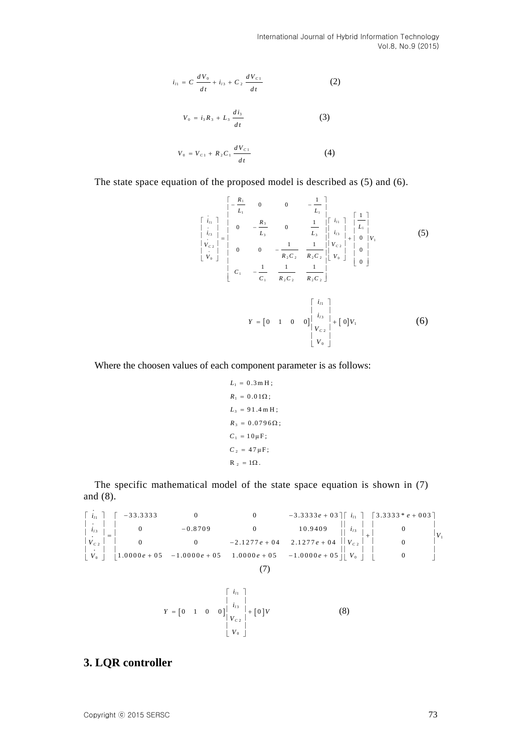International Journal of Hybrid Information Technology Vol.8, No.9 (2015)

$$
i_{t1} = C \frac{dV_0}{dt} + i_{t3} + C_2 \frac{dV_{c1}}{dt}
$$
 (2)

$$
V_0 = i_3 R_3 + L_3 \frac{di_3}{dt}
$$
 (3)

$$
V_0 = V_{c1} + R_2 C_1 \frac{dV_{c1}}{dt}
$$
 (4)

The state space equation of the proposed model is described as (5) and (6).

$$
\begin{bmatrix}\n\vdots \\
\vdots \\
\vdots \\
\vdots \\
\vdots \\
V_{c1} \\
V_{c2} \\
\vdots \\
V_{0}\n\end{bmatrix} =\n\begin{bmatrix}\nR_1 & 0 & 0 & -\frac{1}{L_1} \\
0 & -\frac{R_3}{L_3} & 0 & \frac{1}{L_3} \\
0 & 0 & -\frac{1}{R_2C_2} & \frac{1}{R_2C_2} \\
\vdots \\
\vdots \\
\vdots \\
C_1 & -\frac{1}{C_1} & \frac{1}{R_2C_2} & \frac{1}{R_2C_2}\n\end{bmatrix}\n\begin{bmatrix}\ni_1 \\
i_2 \\
i_3 \\
i_4\n\end{bmatrix} +\n\begin{bmatrix}\n\frac{1}{L_1} \\
0 \\
0 \\
0\n\end{bmatrix}
$$
\n
$$
\begin{bmatrix}\nV_{c2} \\
V_{c1} \\
V_{c2}\n\end{bmatrix} +\n\begin{bmatrix}\n0 \\
0 \\
0\n\end{bmatrix}
$$
\n
$$
\begin{bmatrix}\ni_1 \\
C_1 & -\frac{1}{C_1} & \frac{1}{R_2C_2} & \frac{1}{R_2C_2}\n\end{bmatrix}
$$
\n
$$
Y = \begin{bmatrix}\n0 & 1 & 0 & 0\n\end{bmatrix}\n\begin{bmatrix}\ni_2 \\
i_3 \\
i_4 \\
i_5 \\
i_6\n\end{bmatrix} + \begin{bmatrix}\n0\n\end{bmatrix}V_1
$$
\n(6)

Where the choosen values of each component parameter is as follows:

$$
L_1 = 0.3 \,\text{m H};
$$
  
\n
$$
R_1 = 0.01 \,\Omega;
$$
  
\n
$$
L_3 = 91.4 \,\text{m H};
$$
  
\n
$$
R_3 = 0.0796 \,\Omega;
$$
  
\n
$$
C_1 = 10 \,\mu \,\text{F};
$$
  
\n
$$
C_2 = 47 \,\mu \,\text{F};
$$
  
\n
$$
R_2 = 1 \,\Omega.
$$

The specific mathematical model of the state space equation is shown in (7) and (8). 33.3333 0 0  $\frac{1}{2}$  .3.3333 e+03  $\frac{1}{2}$  .3.3333  $\frac{1}{2}$  .3.3333  $\frac{1}{2}$  .3.3333  $\frac{1}{2}$  .3.3333  $\frac{1}{2}$  .4.3.3333  $\frac{1}{2}$  .4.3.3333  $\frac{1}{2}$  .4.3.3333  $\frac{1}{2}$  .4.3.3333  $\frac{1}{2}$  .4.3.3333  $\frac{1}{2}$  .4.3 *i*<sub>*i*</sub>  $\begin{bmatrix} -33.3333 & 0 \end{bmatrix}$  **e**  $\begin{bmatrix} -33.3333 & 0 \end{bmatrix}$  **e**  $\begin{bmatrix} 2 & -3.3333 & 0 \end{bmatrix}$   $\begin{bmatrix} i_{11} \\ i_{21} \end{bmatrix}$   $\begin{bmatrix} 5.3333 & 8 \end{bmatrix}$  **e**  $\begin{bmatrix} 1 & 0 & -3.3333 & 0 \end{bmatrix}$ and (8).<br>  $\begin{bmatrix} i_{11} \\ 1 \end{bmatrix} \begin{bmatrix} -33.3333 \\ 1 \end{bmatrix}$  = 0<br>  $\begin{bmatrix} 0 \\ 0 \\ 0 \end{bmatrix}$  = 3.33333 = 0<br>  $\begin{bmatrix} 0 \\ 0 \\ 0 \end{bmatrix}$  = 3.3333 = 103  $\begin{bmatrix} i_{11} \\ 1 \end{bmatrix} \begin{bmatrix} 3.3333 * e + 003 \\ 0 & 1 \end{bmatrix}$ 

 $z_i = c \frac{\partial E_i}{\partial x_i} + v_{i+1}c \frac{\partial E_i}{\partial x}$  (2)<br>  $v_{i+1} = v_{i+1} + u_{i}c \frac{\partial E_i}{\partial x}$  (3)<br>  $v_{i+1} = v_{i+1} + u_{i}c \frac{\partial E_i}{\partial x}$  (4)<br>
The same space equation of the proposed model is described as CS and (6).<br>
The same space equation of  $1 \quad | \quad -33.3333 \quad 0 \quad 0 \quad 0 \quad -3.33336 + 03 \quad | \quad l_{11}$ 3 3 1 2 2  $\begin{bmatrix} 0 & 1 & 1.00006 + 0.5 \end{bmatrix}$  -1.00006 + 0.5 -1.00006 + 0.5 -1.00006 + 0.5  $\begin{bmatrix} 0 & 0 & 0 \end{bmatrix}$   $\begin{bmatrix} V_0 & 0 & 0 \end{bmatrix}$  $\begin{array}{ccccccc}\n 0 & 0 & 0 & -3.3333e + 03 \mid & i_{11} \mid & 3.3333 \mid & 0 & -0.8709 & 0 & 10.9409 & 0 & 0\n\end{array}$ 33333 0 0 0  $-3.33333e+03||\vec{i}_1||$   $|3.33333*$ <br>
0  $-0.8709$  0  $10.9409$   $||\vec{i}_1||$   $|\vec{i}_2||$  0<br>
0  $-2.1277e+04$   $2.1277e+04$   $||\vec{v}_{c2}||$  0 1 .0 0 0 0 0 5 1 .0 0 0 0 0 5 1 .0 0 0 0 0 5 1 .0 0 0 0 0 5 0  $l_1$  |  $-$  33.3333 0 0 0  $-$  3.3333*8* + 03 ||  $l_i$  $\begin{array}{ccc|c|c|c|c|c|c|c|c} & 0 & -0.8709 & 0 & 10.9409 & 0 \end{array}$ *C C*  $\begin{bmatrix} i_{13} & | & 0 \\ | & 0 & | & -0.8709 \end{bmatrix}$  0 10.9409  $\begin{bmatrix} i_{13} & | & 0 \\ | & i_{34} & | & 0 \end{bmatrix}$ *<sup>V</sup> e e V*  $\begin{bmatrix} i_{13} \\ i_{12} \\ i_{13} \\ \hline \vdots \\ i_{10} \end{bmatrix} = \begin{bmatrix} 0 & -0.8709 & 0 & 10.9409 & 0 \\ 0 & 0 & -2.1277e + 04 & 2.1277e + 04 & 0 \\ 1.0000e + 05 & -1.0000e + 05 & 1.0000e + 05 & -1.0000e + 05 \end{bmatrix} \begin{bmatrix} i_1 \\ i_2 \\ i_3 \\ i_4 \end{bmatrix}$ and (8).<br>  $\begin{bmatrix} \vec{i}_{11} \end{bmatrix} \begin{bmatrix} -33.3333 & 0 & 0 \ 0 & -3.3333e + 03 \end{bmatrix} \begin{bmatrix} i_{11} \end{bmatrix} \begin{bmatrix} 3.3333^* e + 003 \ 1_{13} \end{bmatrix}$ <br>  $\begin{bmatrix} i_{12} \end{bmatrix} \begin{bmatrix} 0 & -0.8709 & 0 & 10.9409 \ 0 & 0 & 0 & 0 \end{bmatrix}$  $\begin{bmatrix} i_{11} \\ i_{21} \\ i_{13} \\ i_{22} \end{bmatrix} = \begin{bmatrix} -33.3333 & 0 & 0 & 0 & -3.3333e + 03 \mid 0 & i_{11} \\ 0 & -0.8709 & 0 & 10.9409 & 0 & i_{13} \\ 0 & 0 & -2.1277e + 04 & 2.1277e + 04 & 0 & 0 & 0 \\ 0 & 0 & 0 & 0 & 0 & 0 & 0 \\ 0 & 0 & 0 & 0 & 0 & 0 & 0 \\ 0 & 0 & 0 & 0 & 0 & 0 & 0 \\$  $\begin{vmatrix} i_{13} \\ i_{22} \\ i_{33} \\ \hline i_{12} \\ i_{23} \end{vmatrix} = \begin{vmatrix} 0 & -0.8709 & 0 & 10.9409 \\ 0 & 0 & -2.1277e + 04 & 2.1277e + 04 \\ 0 & 0 & -2.1277e + 04 & 2.1277e + 04 \end{vmatrix} \begin{vmatrix} i_{13} \\ i_{23} \\ i_{34} \end{vmatrix} + \begin{vmatrix} 0 & 0 \\ i_{33} \\ i_{34} \end{vmatrix}$  (7)  $\begin{bmatrix} 0 & 1 & 0 & 0 \end{bmatrix}$   $\begin{bmatrix} + & 0 \\ - & - \end{bmatrix}$ 1 3 2  $0 \quad 1 \quad 0 \quad 0 \] \begin{array}{c} l_{13} \\ l_{14} \end{array} + \begin{bmatrix} 0 \\ 0 \end{bmatrix}$ *l l C i*  $Y = \begin{bmatrix} 0 & 1 & 0 & 0 \end{bmatrix} \begin{vmatrix} i_{13} \\ v_{22} \end{vmatrix} + \begin{bmatrix} 0 \end{bmatrix} V$  $\lceil i_{l1} \rceil$  $\begin{array}{c} \begin{array}{c} \ldots \end{array} & \ldots \end{array}$  $= \begin{bmatrix} 0 & 1 & 0 & 0 \end{bmatrix} \begin{bmatrix} i_{13} \\ V_{C2} \end{bmatrix} + \begin{bmatrix} 0 \end{bmatrix}$  $\begin{pmatrix} V & C & 2 \\ C & C & C \end{pmatrix}$  $\begin{bmatrix} V_0 \end{bmatrix}$ (8)

 $\mathbf 0$ 

*V*

## **3. LQR controller**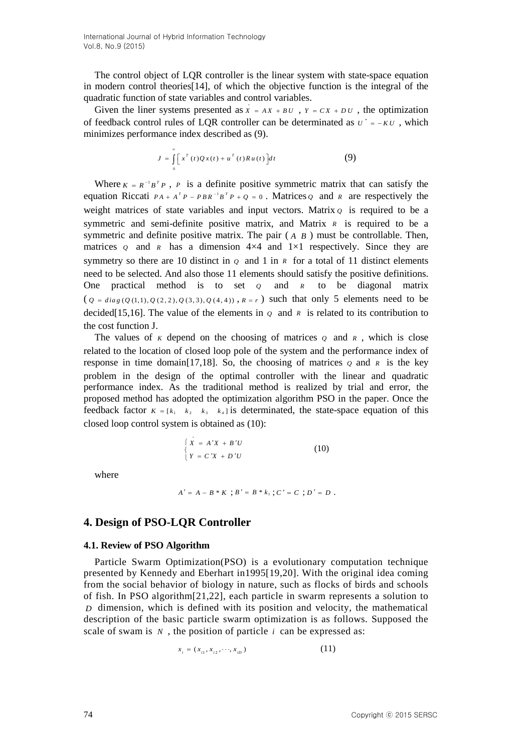International Journal of Hybrid Information Technology Vol.8, No.9 (2015)

The control object of LQR controller is the linear system with state-space equation in modern control theories[14], of which the objective function is the integral of the quadratic function of state variables and control variables.

Given the liner systems presented as  $\overline{X} = AX + BU$ ,  $\overline{Y} = CX + DU$ , the optimization of feedback control rules of LQR controller can be determinated as  $U^* = -KU$ , which minimizes performance index described as (9).

$$
J = \int_{0}^{\infty} \left[ x^{T}(t)Qx(t) + u^{T}(t)Ru(t) \right] dt
$$
 (9)

Where  $K = R^{-1}B^{T}P$ , *P* is a definite positive symmetric matrix that can satisfy the equation Riccati  $PA + A^T P - P B R^{-1} B^T P + Q = 0$ . Matrices *Q* and *R* are respectively the weight matrices of state variables and input vectors. Matrix  $\varrho$  is required to be a symmetric and semi-definite positive matrix, and Matrix *R* is required to be a symmetric and definite positive matrix. The pair  $(A \ B)$  must be controllable. Then, matrices  $\varrho$  and  $\kappa$  has a dimension  $4\times4$  and  $1\times1$  respectively. Since they are symmetry so there are 10 distinct in  $\varrho$  and 1 in  $\kappa$  for a total of 11 distinct elements need to be selected. And also those 11 elements should satisfy the positive definitions. One practical method is to set *Q* and *R* to be diagonal matrix  $(Q = diag(Q(1,1), Q(2, 2), Q(3, 3), Q(4, 4)), R = r)$  such that only 5 elements need to be decided<sup>[15,16]. The value of the elements in  $\varrho$  and  $\kappa$  is related to its contribution to</sup> the cost function J.

The values of  $K$  depend on the choosing of matrices  $Q$  and  $R$ , which is close related to the location of closed loop pole of the system and the performance index of response in time domain[17,18]. So, the choosing of matrices  $\varrho$  and  $\kappa$  is the key problem in the design of the optimal controller with the linear and quadratic performance index. As the traditional method is realized by trial and error, the proposed method has adopted the optimization algorithm PSO in the paper. Once the feedback factor  $K = \begin{bmatrix} k_1 & k_2 & k_3 & k_4 \end{bmatrix}$  is determinated, the state-space equation of this closed loop control system is obtained as (10):

$$
\begin{cases}\nX = A'X + B'U \\
Y = C'X + D'U\n\end{cases}
$$
\n(10)

where

$$
A' = A - B * K ; B' = B * k_1 ; C' = C ; D' = D .
$$

## **4. Design of PSO-LQR Controller**

#### **4.1. Review of PSO Algorithm**

Particle Swarm Optimization(PSO) is a evolutionary computation technique presented by Kennedy and Eberhart in1995[19,20]. With the original idea coming from the social behavior of biology in nature, such as flocks of birds and schools of fish. In PSO algorithm[21,22], each particle in swarm represents a solution to *D* dimension, which is defined with its position and velocity, the mathematical description of the basic particle swarm optimization is as follows. Supposed the scale of swam is  $N$ , the position of particle  $i$  can be expressed as:

$$
x_i = (x_{i1}, x_{i2}, \cdots, x_{iD})
$$
 (11)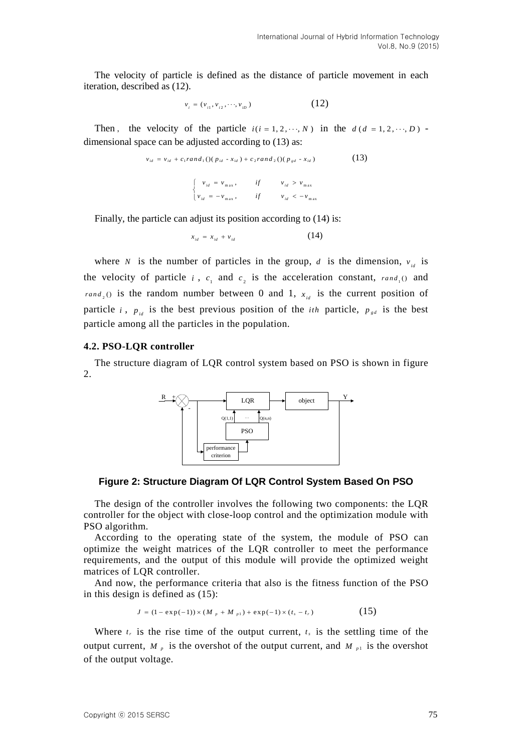The velocity of particle is defined as the distance of particle movement in each iteration, described as (12).

$$
v_i = (v_{i1}, v_{i2}, \cdots, v_{iD})
$$
 (12)

Then, the velocity of the particle  $i(i = 1, 2, \dots, N)$  in the  $d(d = 1, 2, \dots, D)$ dimensional space can be adjusted according to (13) as:

$$
v_{id} = v_{id} + c_1 rand_1((p_{id} - x_{id}) + c_2 rand_2((p_{gd} - x_{id}))
$$
\n(13)

$$
\begin{cases}\n v_{id} = v_{\text{max}}, & \text{if } v_{id} > v_{\text{max}} \\
 v_{id} = -v_{\text{max}}, & \text{if } v_{id} < -v_{\text{max}}\n\end{cases}
$$

Finally, the particle can adjust its position according to  $(14)$  is:

$$
x_{id} = x_{id} + v_{id} \tag{14}
$$

where *N* is the number of particles in the group, *d* is the dimension,  $v_{id}$  is the velocity of particle *i*,  $c_1$  and  $c_2$  is the acceleration constant,  $rand_1()$  and *rand*<sub>2</sub>(*i*) is the random number between 0 and 1,  $x_{id}$  is the current position of particle *i*,  $p_{id}$  is the best previous position of the *ith* particle,  $p_{sd}$  is the best particle among all the particles in the population.

#### **4.2. PSO-LQR controller**

The structure diagram of LQR control system based on PSO is shown in figure 2.



**Figure 2: Structure Diagram Of LQR Control System Based On PSO**

The design of the controller involves the following two components: the LQR controller for the object with close-loop control and the optimization module with PSO algorithm.

According to the operating state of the system, the module of PSO can optimize the weight matrices of the LQR controller to meet the performance requirements, and the output of this module will provide the optimized weight matrices of LQR controller.

And now, the performance criteria that also is the fitness function of the PSO in this design is defined as (15):

$$
J = (1 - \exp(-1)) \times (M_{p} + M_{p1}) + \exp(-1) \times (t_{s} - t_{r})
$$
 (15)

Where  $t_r$  is the rise time of the output current,  $t_s$  is the settling time of the output current,  $M_p$  is the overshot of the output current, and  $M_{p1}$  is the overshot of the output voltage.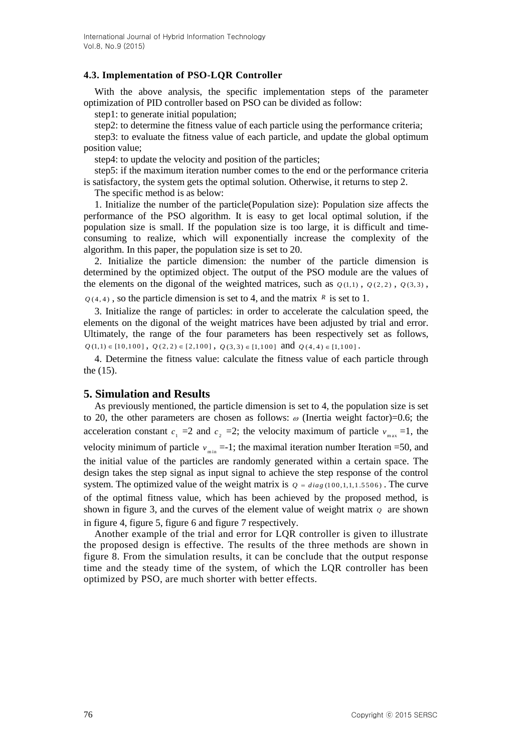### **4.3. Implementation of PSO-LQR Controller**

With the above analysis, the specific implementation steps of the parameter optimization of PID controller based on PSO can be divided as follow:

step1: to generate initial population;

step2: to determine the fitness value of each particle using the performance criteria;

step3: to evaluate the fitness value of each particle, and update the global optimum position value;

step4: to update the velocity and position of the particles;

step5: if the maximum iteration number comes to the end or the performance criteria is satisfactory, the system gets the optimal solution. Otherwise, it returns to step 2.

The specific method is as below:

1. Initialize the number of the particle(Population size): Population size affects the performance of the PSO algorithm. It is easy to get local optimal solution, if the population size is small. If the population size is too large, it is difficult and timeconsuming to realize, which will exponentially increase the complexity of the algorithm. In this paper, the population size is set to 20.

2. Initialize the particle dimension: the number of the particle dimension is determined by the optimized object. The output of the PSO module are the values of the elements on the digonal of the weighted matrices, such as  $q_{(1,1)}$ ,  $q_{(2,2)}$ ,  $q_{(3,3)}$ ,

 $Q(4, 4)$ , so the particle dimension is set to 4, and the matrix  $R$  is set to 1.

3. Initialize the range of particles: in order to accelerate the calculation speed, the elements on the digonal of the weight matrices have been adjusted by trial and error. Ultimately, the range of the four parameters has been respectively set as follows,  $Q(1,1) \in [1 0, 1 0 0]$ ,  $Q(2, 2) \in [2, 1 0 0]$ ,  $Q(3, 3) \in [1, 1 0 0]$  and  $Q(4, 4) \in [1, 1 0 0]$ .

4. Determine the fitness value: calculate the fitness value of each particle through the (15).

## **5. Simulation and Results**

As previously mentioned, the particle dimension is set to 4, the population size is set to 20, the other parameters are chosen as follows:  $\omega$  (Inertia weight factor)=0.6; the acceleration constant  $c_1 = 2$  and  $c_2 = 2$ ; the velocity maximum of particle  $v_{\text{max}} = 1$ , the velocity minimum of particle  $v_{\text{min}} = -1$ ; the maximal iteration number Iteration =50, and the initial value of the particles are randomly generated within a certain space. The design takes the step signal as input signal to achieve the step response of the control system. The optimized value of the weight matrix is  $q = diag(100, 1, 1, 1.5506)$ . The curve of the optimal fitness value, which has been achieved by the proposed method, is shown in figure 3, and the curves of the element value of weight matrix  $\varrho$  are shown in figure 4, figure 5, figure 6 and figure 7 respectively.

Another example of the trial and error for LQR controller is given to illustrate the proposed design is effective. The results of the three methods are shown in figure 8. From the simulation results, it can be conclude that the output response time and the steady time of the system, of which the LQR controller has been optimized by PSO, are much shorter with better effects.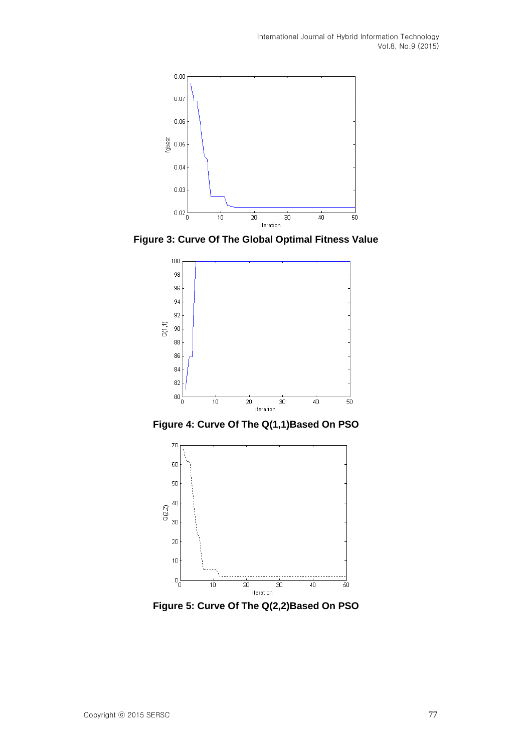

**Figure 3: Curve Of The Global Optimal Fitness Value**



**Figure 4: Curve Of The Q(1,1)Based On PSO**



**Figure 5: Curve Of The Q(2,2)Based On PSO**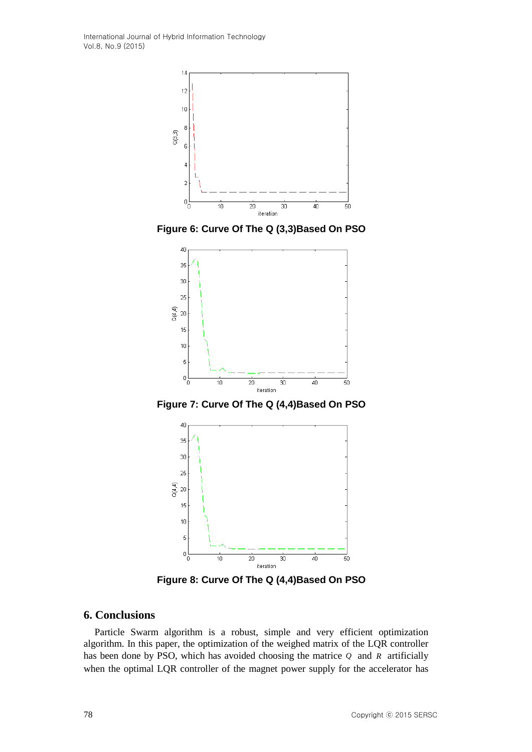International Journal of Hybrid Information Technology Vol.8, No.9 (2015)



**Figure 6: Curve Of The Q (3,3)Based On PSO**



**Figure 7: Curve Of The Q (4,4)Based On PSO**



**Figure 8: Curve Of The Q (4,4)Based On PSO**

### **6. Conclusions**

Particle Swarm algorithm is a robust, simple and very efficient optimization algorithm. In this paper, the optimization of the weighed matrix of the LQR controller has been done by PSO, which has avoided choosing the matrice *Q* and *R* artificially when the optimal LQR controller of the magnet power supply for the accelerator has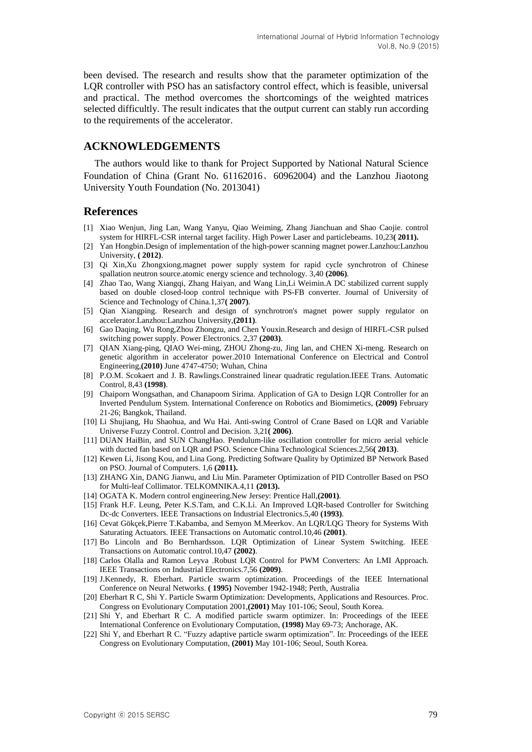been devised. The research and results show that the parameter optimization of the LQR controller with PSO has an satisfactory control effect, which is feasible, universal and practical. The method overcomes the shortcomings of the weighted matrices selected difficultly. The result indicates that the output current can stably run according to the requirements of the accelerator.

## **ACKNOWLEDGEMENTS**

The authors would like to thank for Project Supported by National Natural Science Foundation of China (Grant No. 61162016、60962004) and the Lanzhou Jiaotong University Youth Foundation (No. 2013041)

## **References**

- [1] Xiao Wenjun, Jing Lan, Wang Yanyu, Qiao Weiming, Zhang Jianchuan and Shao Caojie. control system for HIRFL-CSR internal target facility. High Power Laser and particlebeams. 10,23**( 2011).**
- [2] Yan Hongbin.Design of implementation of the high-power scanning magnet power.Lanzhou:Lanzhou University, **( 2012)**.
- [3] Qi Xin,Xu Zhongxiong.magnet power supply system for rapid cycle synchrotron of Chinese spallation neutron source.atomic energy science and technology. 3,40 **(2006)**.
- [4] Zhao Tao, Wang Xiangqi, Zhang Haiyan, and Wang Lin,Li Weimin.A DC stabilized current supply based on double closed-loop control technique with PS-FB converter. Journal of University of Science and Technology of China.1,37**( 2007)**.
- [5] Qian Xiangping. Research and design of synchrotron's magnet power supply regulator on accelerator.Lanzhou:Lanzhou University,**(2011)**.
- [6] Gao Daqing, Wu Rong,Zhou Zhongzu, and Chen Youxin.Research and design of HIRFL-CSR pulsed switching power supply. Power Electronics. 2,37 **(2003)**.
- [7] QIAN Xiang-ping, QIAO Wei-ming, ZHOU Zhong-zu, Jing lan, and CHEN Xi-meng. Research on genetic algorithm in accelerator power.2010 International Conference on Electrical and Control Engineering,**(2010)** June 4747-4750; Wuhan, China
- [8] P.O.M. Scokaert and J. B. Rawlings.Constrained linear quadratic regulation.IEEE Trans. Automatic Control, 8,43 **(1998)**.
- [9] Chaiporn Wongsathan, and Chanapoom Sirima. Application of GA to Design LQR Controller for an Inverted Pendulum System. International Conference on Robotics and Biomimetics, **(2009)** February 21-26; Bangkok, Thailand.
- [10] Li Shujiang, Hu Shaohua, and Wu Hai. Anti-swing Control of Crane Based on LQR and Variable Universe Fuzzy Control. Control and Decision. 3,21**( 2006)**.
- [11] DUAN HaiBin, and SUN ChangHao. Pendulum-like oscillation controller for micro aerial vehicle with ducted fan based on LQR and PSO. Science China Technological Sciences.2,56**( 2013)**.
- [12] Kewen Li, Jisong Kou, and Lina Gong. Predicting Software Quality by Optimized BP Network Based on PSO. Journal of Computers. 1,6 **(2011).**
- [13] ZHANG Xin, DANG Jianwu, and Liu Min. Parameter Optimization of PID Controller Based on PSO for Multi-leaf Collimator. TELKOMNIKA.4,11 **(2013).**
- [14] OGATA K. Modern control engineering.New Jersey: Prentice Hall,**(2001)**.
- [15] Frank H.F. Leung, Peter K.S.Tam, and C.K.Li. An Improved LQR-based Controller for Switching Dc-dc Converters. IEEE Transactions on Industrial Electronics.5,40 **(1993)**.
- [16] Cevat Gökçek,Pierre T.Kabamba, and Semyon M.Meerkov. An LQR/LQG Theory for Systems With Saturating Actuators. IEEE Transactions on Automatic control.10,46 **(2001)**.
- [17] Bo Lincoln and Bo Bernhardsson. LQR Optimization of Linear System Switching. IEEE Transactions on Automatic control.10,47 **(2002)**.
- [18] Carlos Olalla and Ramon Leyva .Robust LQR Control for PWM Converters: An LMI Approach. IEEE Transactions on Industrial Electronics.7,56 **(2009)**.
- [19] J.Kennedy, R. Eberhart. Particle swarm optimization. Proceedings of the IEEE International Conference on Neural Networks. **( 1995)** November 1942-1948; Perth, Australia
- [20] Eberhart R C, Shi Y. Particle Swarm Optimization: Developments, Applications and Resources. Proc. Congress on Evolutionary Computation 2001,**(2001)** May 101-106; Seoul, South Korea.
- [21] Shi Y, and Eberhart R C. A modified particle swarm optimizer. In: Proceedings of the IEEE International Conference on Evolutionary Computation, **(1998)** May 69-73; Anchorage, AK.
- [22] Shi Y, and Eberhart R C. "Fuzzy adaptive particle swarm optimization". In: Proceedings of the IEEE Congress on Evolutionary Computation, **(2001)** May 101-106; Seoul, South Korea.